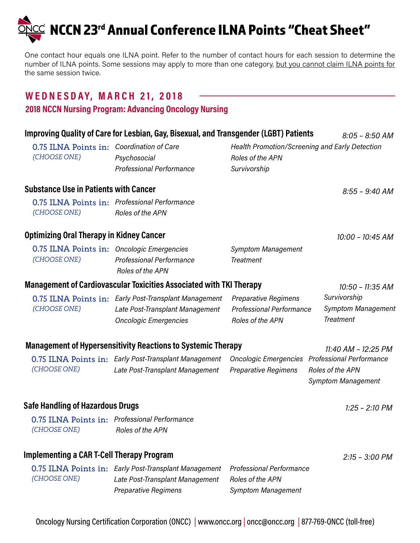$\mathbb{C}^2$  NCCN 23rd Annual Conference ILNA Points "Cheat Sheet"

One contact hour equals one ILNA point. Refer to the number of contact hours for each session to determine the number of ILNA points. Some sessions may apply to more than one category, but you cannot claim ILNA points for the same session twice.

## **WE D N E S DAY, M AR CH 2 1, 2 018**

### **2018 NCCN Nursing Program: Advancing Oncology Nursing**

| Improving Quality of Care for Lesbian, Gay, Bisexual, and Transgender (LGBT) Patients<br>$8:05 - 8:50$ AM |                                                                                                                          |                                                                                    |                                                                                  |  |  |
|-----------------------------------------------------------------------------------------------------------|--------------------------------------------------------------------------------------------------------------------------|------------------------------------------------------------------------------------|----------------------------------------------------------------------------------|--|--|
| 0.75 ILNA Points in: Coordination of Care<br>(CHOOSE ONE)                                                 | Psychosocial<br><b>Professional Performance</b>                                                                          | Health Promotion/Screening and Early Detection<br>Roles of the APN<br>Survivorship |                                                                                  |  |  |
| <b>Substance Use in Patients with Cancer</b>                                                              |                                                                                                                          |                                                                                    | $8:55 - 9:40$ AM                                                                 |  |  |
| (CHOOSE ONE)                                                                                              | 0.75 ILNA Points in: Professional Performance<br>Roles of the APN                                                        |                                                                                    |                                                                                  |  |  |
| <b>Optimizing Oral Therapy in Kidney Cancer</b>                                                           |                                                                                                                          |                                                                                    | 10:00 - 10:45 AM                                                                 |  |  |
| 0.75 ILNA Points in: Oncologic Emergencies<br>(CHOOSE ONE)                                                | <b>Professional Performance</b><br>Roles of the APN                                                                      | <b>Symptom Management</b><br><b>Treatment</b>                                      |                                                                                  |  |  |
|                                                                                                           | <b>Management of Cardiovascular Toxicities Associated with TKI Therapy</b>                                               |                                                                                    | 10:50 - 11:35 AM                                                                 |  |  |
| (CHOOSE ONE)                                                                                              | 0.75 ILNA Points in: Early Post-Transplant Management<br>Late Post-Transplant Management<br><b>Oncologic Emergencies</b> | <b>Preparative Regimens</b><br><b>Professional Performance</b><br>Roles of the APN | Survivorship<br><b>Symptom Management</b><br><b>Treatment</b>                    |  |  |
| <b>Management of Hypersensitivity Reactions to Systemic Therapy</b><br>11:40 AM - 12:25 PM                |                                                                                                                          |                                                                                    |                                                                                  |  |  |
| (CHOOSE ONE)                                                                                              | 0.75 ILNA Points in: Early Post-Transplant Management<br>Late Post-Transplant Management                                 | <b>Oncologic Emergencies</b><br><b>Preparative Regimens</b>                        | <b>Professional Performance</b><br>Roles of the APN<br><b>Symptom Management</b> |  |  |
| <b>Safe Handling of Hazardous Drugs</b>                                                                   |                                                                                                                          |                                                                                    | $1:25 - 2:10$ PM                                                                 |  |  |
| (CHOOSE ONE)                                                                                              | 0.75 ILNA Points in: Professional Performance<br>Roles of the APN                                                        |                                                                                    |                                                                                  |  |  |
| <b>Implementing a CAR T-Cell Therapy Program</b>                                                          |                                                                                                                          |                                                                                    | $2:15 - 3:00 PM$                                                                 |  |  |
| (CHOOSE ONE)                                                                                              | 0.75 ILNA Points in: Early Post-Transplant Management<br>Late Post-Transplant Management<br><b>Preparative Regimens</b>  | <b>Professional Performance</b><br>Roles of the APN<br><b>Symptom Management</b>   |                                                                                  |  |  |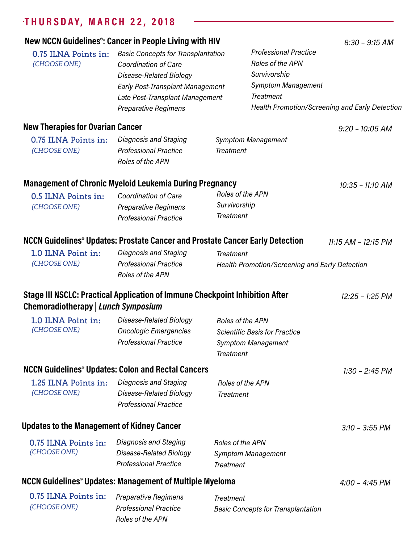# **T H U R S DAY, M AR CH 2 2 , 2 018**

|                                                   | New NCCN Guidelines <sup>®</sup> : Cancer in People Living with HIV                 |                                                |                              | $8:30 - 9:15$ AM                               |
|---------------------------------------------------|-------------------------------------------------------------------------------------|------------------------------------------------|------------------------------|------------------------------------------------|
| 0.75 ILNA Points in:                              | <b>Basic Concepts for Transplantation</b><br><b>Coordination of Care</b>            |                                                | <b>Professional Practice</b> |                                                |
| (CHOOSE ONE)                                      |                                                                                     |                                                | Roles of the APN             |                                                |
|                                                   | Disease-Related Biology                                                             |                                                | Survivorship                 |                                                |
|                                                   |                                                                                     | Early Post-Transplant Management               |                              | <b>Symptom Management</b>                      |
|                                                   | Late Post-Transplant Management                                                     |                                                | <b>Treatment</b>             |                                                |
|                                                   | <b>Preparative Regimens</b>                                                         |                                                |                              | Health Promotion/Screening and Early Detection |
| <b>New Therapies for Ovarian Cancer</b>           |                                                                                     |                                                |                              | $9:20 - 10:05$ AM                              |
| 0.75 ILNA Points in:                              | Diagnosis and Staging                                                               |                                                | <b>Symptom Management</b>    |                                                |
| (CHOOSE ONE)                                      | <b>Professional Practice</b>                                                        | <b>Treatment</b>                               |                              |                                                |
|                                                   | Roles of the APN                                                                    |                                                |                              |                                                |
|                                                   | <b>Management of Chronic Myeloid Leukemia During Pregnancy</b>                      |                                                |                              | 10:35 - 11:10 AM                               |
| 0.5 ILNA Points in:                               | Roles of the APN<br><b>Coordination of Care</b>                                     |                                                |                              |                                                |
| (CHOOSE ONE)                                      | <b>Preparative Regimens</b>                                                         | Survivorship                                   |                              |                                                |
|                                                   | <b>Professional Practice</b>                                                        | <b>Treatment</b>                               |                              |                                                |
|                                                   | NCCN Guidelines® Updates: Prostate Cancer and Prostate Cancer Early Detection       |                                                |                              | 11:15 AM - 12:15 PM                            |
| 1.0 ILNA Point in:                                | Diagnosis and Staging                                                               | <b>Treatment</b>                               |                              |                                                |
| (CHOOSE ONE)                                      | <b>Professional Practice</b><br>Roles of the APN                                    | Health Promotion/Screening and Early Detection |                              |                                                |
| Chemoradiotherapy   Lunch Symposium               | <b>Stage III NSCLC: Practical Application of Immune Checkpoint Inhibition After</b> |                                                |                              | 12:25 - 1:25 PM                                |
| 1.0 ILNA Point in:                                | Disease-Related Biology                                                             |                                                | Roles of the APN             |                                                |
| (CHOOSE ONE)                                      | <b>Oncologic Emergencies</b>                                                        | <b>Scientific Basis for Practice</b>           |                              |                                                |
|                                                   | <b>Professional Practice</b>                                                        |                                                | <b>Symptom Management</b>    |                                                |
|                                                   |                                                                                     | <b>Treatment</b>                               |                              |                                                |
|                                                   | <b>NCCN Guidelines<sup>®</sup> Updates: Colon and Rectal Cancers</b>                |                                                |                              | $1:30 - 2:45 PM$                               |
| 1.25 ILNA Points in:<br>(CHOOSE ONE)              | Diagnosis and Staging                                                               |                                                | Roles of the APN             |                                                |
|                                                   | Disease-Related Biology                                                             | <b>Treatment</b>                               |                              |                                                |
|                                                   | <b>Professional Practice</b>                                                        |                                                |                              |                                                |
| <b>Updates to the Management of Kidney Cancer</b> |                                                                                     |                                                |                              | $3:10 - 3:55$ PM                               |
| 0.75 ILNA Points in:<br>(CHOOSE ONE)              | Diagnosis and Staging                                                               | Roles of the APN                               |                              |                                                |
|                                                   | Disease-Related Biology                                                             |                                                | <b>Symptom Management</b>    |                                                |
|                                                   | <b>Professional Practice</b>                                                        | <b>Treatment</b>                               |                              |                                                |

## **NCCN Guidelines® Updates: Management of Multiple Myeloma** *4:00 – 4:45 PM*

| 0.75 ILNA Points in: | <b>Preparative Regimens</b>  | Treatment                                 |
|----------------------|------------------------------|-------------------------------------------|
| (CHOOSE ONE)         | <b>Professional Practice</b> | <b>Basic Concepts for Transplantation</b> |
|                      | Roles of the APN             |                                           |

*Treatment*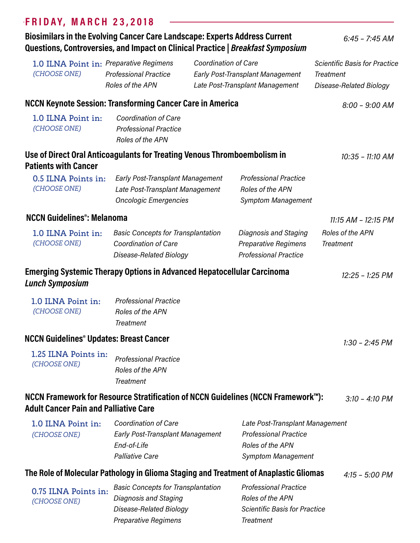### **F R I DAY, M AR CH 2 3, 2 018**

### **Biosimilars in the Evolving Cancer Care Landscape: Experts Address Current Questions, Controversies, and Impact on Clinical Practice |** *Breakfast Symposium*

*6:45 – 7:45 AM*

**NCCN Keynote Session: Transforming Cancer Care in America** *8:00 – 9:00 AM Coordination of Care Professional Practice Roles of the APN*  **1.0 ILNA Point in: Use of Direct Oral Anticoagulants for Treating Venous Thromboembolism in Patients with Cancer** *10:35 – 11:10 AM Early Post-Transplant Management* **0.5 ILNA Points in:** *Professional Practice Late Post-Transplant Management Oncologic Emergencies Roles of the APN Symptom Management* **NCCN Guidelines®: Melanoma** *11:15 AM – 12:15 PM Basic Concepts for Transplantation* **1.0 ILNA Point in:** *Diagnosis and Staging Coordination of Care Disease-Related Biology Preparative Regimens Professional Practice* **Emerging Systemic Therapy Options in Advanced Hepatocellular Carcinoma** *Lunch Symposium 12:25 – 1:25 PM Professional Practice Roles of the APN Treatment* **1.0 ILNA Point in: NCCN Guidelines® Updates: Breast Cancer** *1:30 – 2:45 PM Professional Practice Roles of the APN Treatment*  **1.25 ILNA Points in: NCCN Framework for Resource Stratification of NCCN Guidelines (NCCN Framework™): Adult Cancer Pain and Palliative Care** *3:10 – 4:10 PM Coordination of Care Early Post-Transplant Management End-of-Life Palliative Care* **1.0 ILNA Point in:** *Late Post-Transplant Management Professional Practice Roles of the APN Symptom Management*  **The Role of Molecular Pathology in Glioma Staging and Treatment of Anaplastic Gliomas** *4:15 – 5:00 PM* **0.75 ILNA Points in:** Basic Concepts for Transplantation Professional Practice *Diagnosis and Staging Disease-Related Biology Roles of the APN Scientific Basis for Practice Coordination of Care Early Post-Transplant Management Late Post-Transplant Management*  **1.0 ILNA Point in:** *Preparative Regimens Professional Practice Roles of the APN (CHOOSE ONE) (CHOOSE ONE) (CHOOSE ONE) (CHOOSE ONE) (CHOOSE ONE) (CHOOSE ONE) (CHOOSE ONE) (CHOOSE ONE) Scientific Basis for Practice Treatment Disease-Related Biology Roles of the APN Treatment*

*Treatment*

*Preparative Regimens*